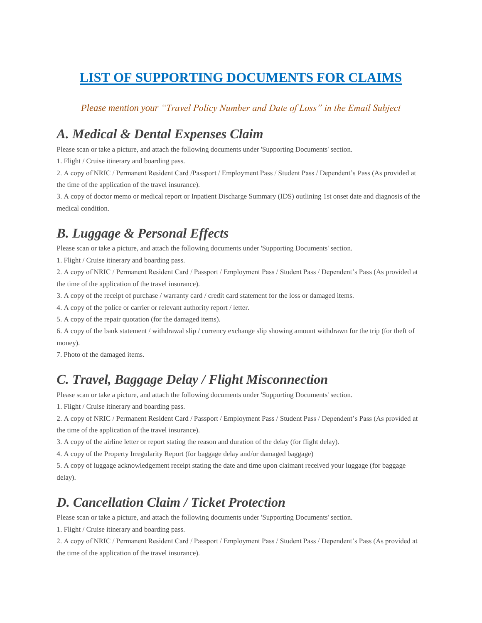# **LIST OF SUPPORTING DOCUMENTS FOR CLAIMS**

#### *Please mention your "Travel Policy Number and Date of Loss" in the Email Subject*

## *A. Medical & Dental Expenses Claim*

Please scan or take a picture, and attach the following documents under 'Supporting Documents' section.

1. Flight / Cruise itinerary and boarding pass.

2. A copy of NRIC / Permanent Resident Card /Passport / Employment Pass / Student Pass / Dependent's Pass (As provided at the time of the application of the travel insurance).

3. A copy of doctor memo or medical report or Inpatient Discharge Summary (IDS) outlining 1st onset date and diagnosis of the medical condition.

## *B. Luggage & Personal Effects*

Please scan or take a picture, and attach the following documents under 'Supporting Documents' section.

1. Flight / Cruise itinerary and boarding pass.

2. A copy of NRIC / Permanent Resident Card / Passport / Employment Pass / Student Pass / Dependent's Pass (As provided at the time of the application of the travel insurance).

3. A copy of the receipt of purchase / warranty card / credit card statement for the loss or damaged items.

4. A copy of the police or carrier or relevant authority report / letter.

5. A copy of the repair quotation (for the damaged items).

6. A copy of the bank statement / withdrawal slip / currency exchange slip showing amount withdrawn for the trip (for theft of money).

7. Photo of the damaged items.

# *C. Travel, Baggage Delay / Flight Misconnection*

Please scan or take a picture, and attach the following documents under 'Supporting Documents' section.

1. Flight / Cruise itinerary and boarding pass.

2. A copy of NRIC / Permanent Resident Card / Passport / Employment Pass / Student Pass / Dependent's Pass (As provided at the time of the application of the travel insurance).

3. A copy of the airline letter or report stating the reason and duration of the delay (for flight delay).

4. A copy of the Property Irregularity Report (for baggage delay and/or damaged baggage)

5. A copy of luggage acknowledgement receipt stating the date and time upon claimant received your luggage (for baggage delay).

### *D. Cancellation Claim / Ticket Protection*

Please scan or take a picture, and attach the following documents under 'Supporting Documents' section.

1. Flight / Cruise itinerary and boarding pass.

2. A copy of NRIC / Permanent Resident Card / Passport / Employment Pass / Student Pass / Dependent's Pass (As provided at the time of the application of the travel insurance).